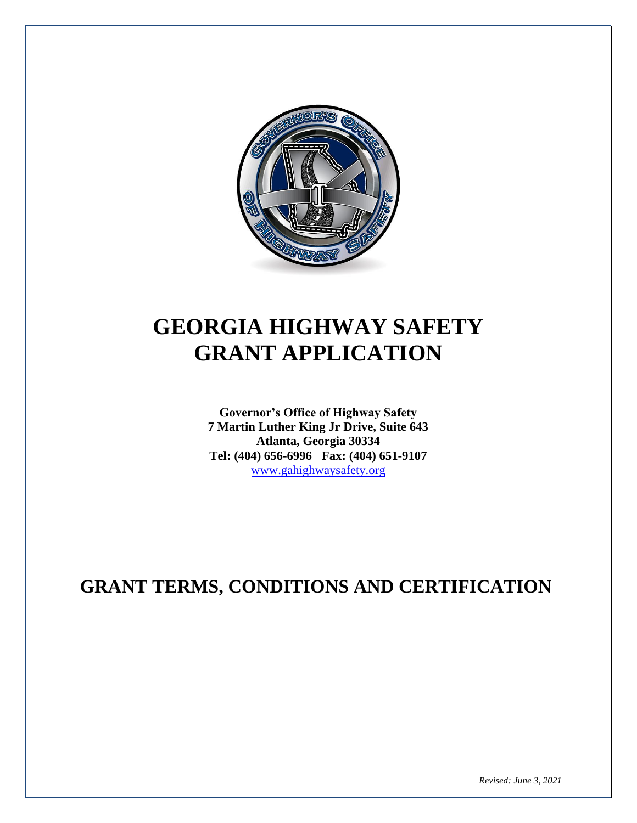

# **GEORGIA HIGHWAY SAFETY GRANT APPLICATION**

**Governor's Office of Highway Safety 7 Martin Luther King Jr Drive, Suite 643 Atlanta, Georgia 30334 Tel: (404) 656-6996 Fax: (404) 651-9107**  www.gahighwaysafety.org

## **GRANT TERMS, CONDITIONS AND CERTIFICATION**

*Revised: June 3, 2021*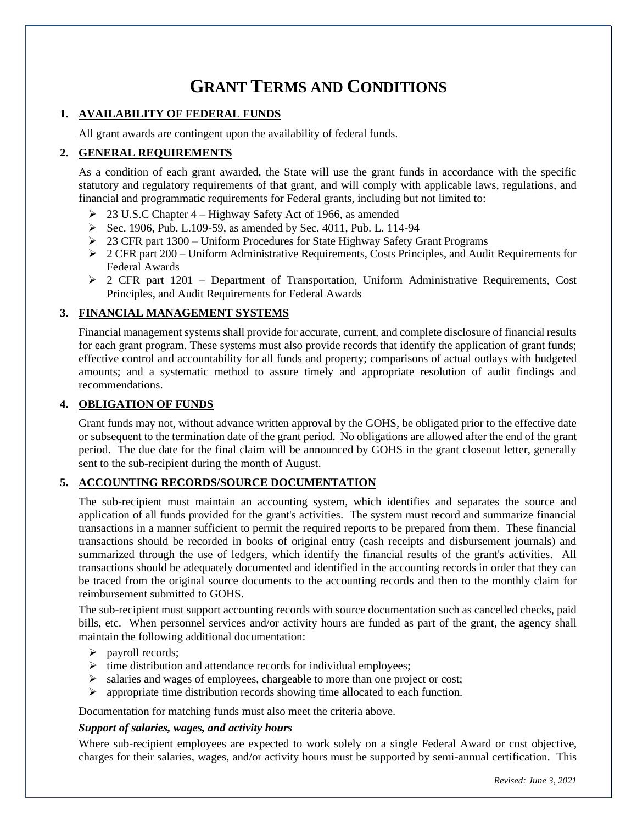### **GRANT TERMS AND CONDITIONS**

#### **1. AVAILABILITY OF FEDERAL FUNDS**

All grant awards are contingent upon the availability of federal funds.

#### **2. GENERAL REQUIREMENTS**

As a condition of each grant awarded, the State will use the grant funds in accordance with the specific statutory and regulatory requirements of that grant, and will comply with applicable laws, regulations, and financial and programmatic requirements for Federal grants, including but not limited to:

- ➢ 23 U.S.C Chapter 4 Highway Safety Act of 1966, as amended
- ➢ Sec. 1906, Pub. L.109-59, as amended by Sec. 4011, Pub. L. 114-94
- ➢ 23 CFR part 1300 Uniform Procedures for State Highway Safety Grant Programs
- $\geq 2$  CFR part 200 Uniform Administrative Requirements, Costs Principles, and Audit Requirements for Federal Awards
- $\geq$  2 CFR part 1201 Department of Transportation, Uniform Administrative Requirements, Cost Principles, and Audit Requirements for Federal Awards

#### **3. FINANCIAL MANAGEMENT SYSTEMS**

Financial management systems shall provide for accurate, current, and complete disclosure of financial results for each grant program. These systems must also provide records that identify the application of grant funds; effective control and accountability for all funds and property; comparisons of actual outlays with budgeted amounts; and a systematic method to assure timely and appropriate resolution of audit findings and recommendations.

#### **4. OBLIGATION OF FUNDS**

Grant funds may not, without advance written approval by the GOHS, be obligated prior to the effective date or subsequent to the termination date of the grant period. No obligations are allowed after the end of the grant period. The due date for the final claim will be announced by GOHS in the grant closeout letter, generally sent to the sub-recipient during the month of August.

#### **5. ACCOUNTING RECORDS/SOURCE DOCUMENTATION**

The sub-recipient must maintain an accounting system, which identifies and separates the source and application of all funds provided for the grant's activities. The system must record and summarize financial transactions in a manner sufficient to permit the required reports to be prepared from them. These financial transactions should be recorded in books of original entry (cash receipts and disbursement journals) and summarized through the use of ledgers, which identify the financial results of the grant's activities. All transactions should be adequately documented and identified in the accounting records in order that they can be traced from the original source documents to the accounting records and then to the monthly claim for reimbursement submitted to GOHS.

The sub-recipient must support accounting records with source documentation such as cancelled checks, paid bills, etc. When personnel services and/or activity hours are funded as part of the grant, the agency shall maintain the following additional documentation:

- ➢ payroll records;
- $\triangleright$  time distribution and attendance records for individual employees;
- ➢ salaries and wages of employees, chargeable to more than one project or cost;
- ➢ appropriate time distribution records showing time allocated to each function.

Documentation for matching funds must also meet the criteria above.

#### *Support of salaries, wages, and activity hours*

Where sub-recipient employees are expected to work solely on a single Federal Award or cost objective, charges for their salaries, wages, and/or activity hours must be supported by semi-annual certification. This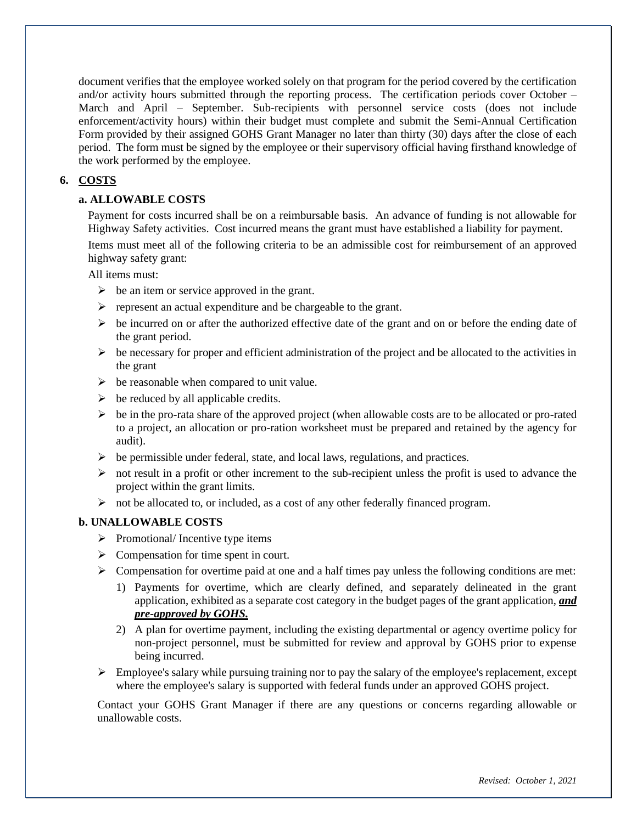document verifies that the employee worked solely on that program for the period covered by the certification and/or activity hours submitted through the reporting process. The certification periods cover October – March and April – September. Sub-recipients with personnel service costs (does not include enforcement/activity hours) within their budget must complete and submit the Semi-Annual Certification Form provided by their assigned GOHS Grant Manager no later than thirty (30) days after the close of each period. The form must be signed by the employee or their supervisory official having firsthand knowledge of the work performed by the employee.

#### **6. COSTS**

#### **a. ALLOWABLE COSTS**

Payment for costs incurred shall be on a reimbursable basis. An advance of funding is not allowable for Highway Safety activities. Cost incurred means the grant must have established a liability for payment.

Items must meet all of the following criteria to be an admissible cost for reimbursement of an approved highway safety grant:

All items must:

- $\triangleright$  be an item or service approved in the grant.
- ➢ represent an actual expenditure and be chargeable to the grant.
- $\triangleright$  be incurred on or after the authorized effective date of the grant and on or before the ending date of the grant period.
- $\triangleright$  be necessary for proper and efficient administration of the project and be allocated to the activities in the grant
- $\triangleright$  be reasonable when compared to unit value.
- $\triangleright$  be reduced by all applicable credits.
- $\triangleright$  be in the pro-rata share of the approved project (when allowable costs are to be allocated or pro-rated to a project, an allocation or pro-ration worksheet must be prepared and retained by the agency for audit).
- ➢ be permissible under federal, state, and local laws, regulations, and practices.
- $\triangleright$  not result in a profit or other increment to the sub-recipient unless the profit is used to advance the project within the grant limits.
- ➢ not be allocated to, or included, as a cost of any other federally financed program.

#### **b. UNALLOWABLE COSTS**

- $\triangleright$  Promotional/Incentive type items
- $\triangleright$  Compensation for time spent in court.
- $\triangleright$  Compensation for overtime paid at one and a half times pay unless the following conditions are met:
	- 1) Payments for overtime, which are clearly defined, and separately delineated in the grant application, exhibited as a separate cost category in the budget pages of the grant application, *and pre-approved by GOHS.*
	- 2) A plan for overtime payment, including the existing departmental or agency overtime policy for non-project personnel, must be submitted for review and approval by GOHS prior to expense being incurred.
- $\triangleright$  Employee's salary while pursuing training nor to pay the salary of the employee's replacement, except where the employee's salary is supported with federal funds under an approved GOHS project.

Contact your GOHS Grant Manager if there are any questions or concerns regarding allowable or unallowable costs.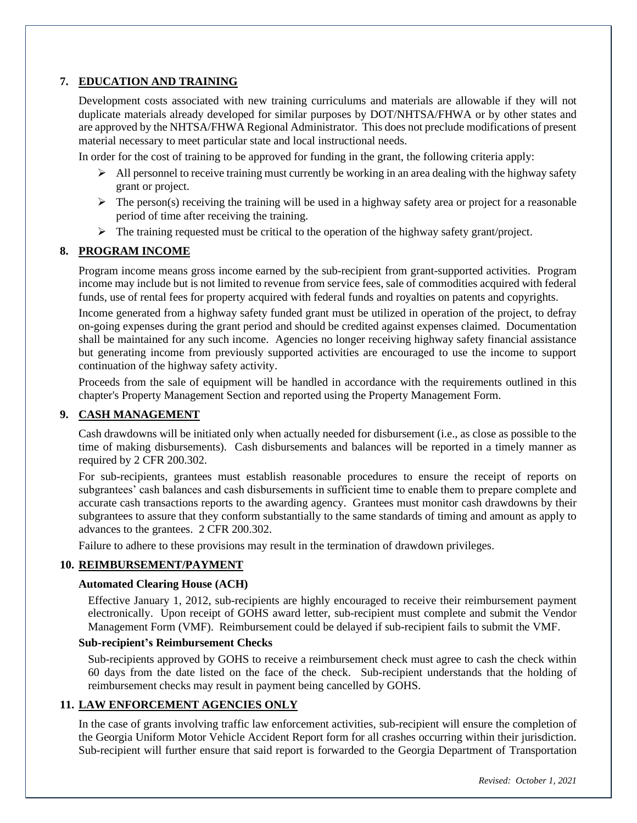#### **7. EDUCATION AND TRAINING**

Development costs associated with new training curriculums and materials are allowable if they will not duplicate materials already developed for similar purposes by DOT/NHTSA/FHWA or by other states and are approved by the NHTSA/FHWA Regional Administrator. This does not preclude modifications of present material necessary to meet particular state and local instructional needs.

In order for the cost of training to be approved for funding in the grant, the following criteria apply:

- $\triangleright$  All personnel to receive training must currently be working in an area dealing with the highway safety grant or project.
- $\triangleright$  The person(s) receiving the training will be used in a highway safety area or project for a reasonable period of time after receiving the training.
- $\triangleright$  The training requested must be critical to the operation of the highway safety grant/project.

#### **8. PROGRAM INCOME**

Program income means gross income earned by the sub-recipient from grant-supported activities. Program income may include but is not limited to revenue from service fees, sale of commodities acquired with federal funds, use of rental fees for property acquired with federal funds and royalties on patents and copyrights.

Income generated from a highway safety funded grant must be utilized in operation of the project, to defray on-going expenses during the grant period and should be credited against expenses claimed. Documentation shall be maintained for any such income. Agencies no longer receiving highway safety financial assistance but generating income from previously supported activities are encouraged to use the income to support continuation of the highway safety activity.

Proceeds from the sale of equipment will be handled in accordance with the requirements outlined in this chapter's Property Management Section and reported using the Property Management Form.

#### **9. CASH MANAGEMENT**

Cash drawdowns will be initiated only when actually needed for disbursement (i.e., as close as possible to the time of making disbursements). Cash disbursements and balances will be reported in a timely manner as required by 2 CFR 200.302.

For sub-recipients, grantees must establish reasonable procedures to ensure the receipt of reports on subgrantees' cash balances and cash disbursements in sufficient time to enable them to prepare complete and accurate cash transactions reports to the awarding agency. Grantees must monitor cash drawdowns by their subgrantees to assure that they conform substantially to the same standards of timing and amount as apply to advances to the grantees. 2 CFR 200.302.

Failure to adhere to these provisions may result in the termination of drawdown privileges.

#### **10. REIMBURSEMENT/PAYMENT**

#### **Automated Clearing House (ACH)**

Effective January 1, 2012, sub-recipients are highly encouraged to receive their reimbursement payment electronically. Upon receipt of GOHS award letter, sub-recipient must complete and submit the Vendor Management Form (VMF). Reimbursement could be delayed if sub-recipient fails to submit the VMF.

#### **Sub-recipient's Reimbursement Checks**

Sub-recipients approved by GOHS to receive a reimbursement check must agree to cash the check within 60 days from the date listed on the face of the check. Sub-recipient understands that the holding of reimbursement checks may result in payment being cancelled by GOHS.

#### **11. LAW ENFORCEMENT AGENCIES ONLY**

In the case of grants involving traffic law enforcement activities, sub-recipient will ensure the completion of the Georgia Uniform Motor Vehicle Accident Report form for all crashes occurring within their jurisdiction. Sub-recipient will further ensure that said report is forwarded to the Georgia Department of Transportation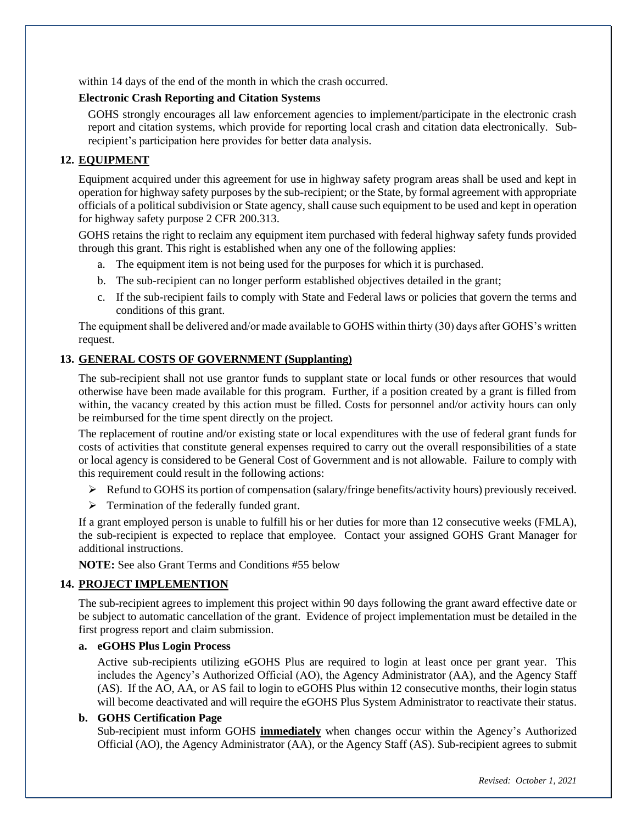within 14 days of the end of the month in which the crash occurred.

#### **Electronic Crash Reporting and Citation Systems**

GOHS strongly encourages all law enforcement agencies to implement/participate in the electronic crash report and citation systems, which provide for reporting local crash and citation data electronically. Subrecipient's participation here provides for better data analysis.

#### **12. EQUIPMENT**

Equipment acquired under this agreement for use in highway safety program areas shall be used and kept in operation for highway safety purposes by the sub-recipient; or the State, by formal agreement with appropriate officials of a political subdivision or State agency, shall cause such equipment to be used and kept in operation for highway safety purpose 2 CFR 200.313.

GOHS retains the right to reclaim any equipment item purchased with federal highway safety funds provided through this grant. This right is established when any one of the following applies:

- a. The equipment item is not being used for the purposes for which it is purchased.
- b. The sub-recipient can no longer perform established objectives detailed in the grant;
- c. If the sub-recipient fails to comply with State and Federal laws or policies that govern the terms and conditions of this grant.

The equipment shall be delivered and/or made available to GOHS within thirty (30) days after GOHS's written request.

#### **13. GENERAL COSTS OF GOVERNMENT (Supplanting)**

The sub-recipient shall not use grantor funds to supplant state or local funds or other resources that would otherwise have been made available for this program. Further, if a position created by a grant is filled from within, the vacancy created by this action must be filled. Costs for personnel and/or activity hours can only be reimbursed for the time spent directly on the project.

The replacement of routine and/or existing state or local expenditures with the use of federal grant funds for costs of activities that constitute general expenses required to carry out the overall responsibilities of a state or local agency is considered to be General Cost of Government and is not allowable. Failure to comply with this requirement could result in the following actions:

- ➢ Refund to GOHS its portion of compensation (salary/fringe benefits/activity hours) previously received.
- $\triangleright$  Termination of the federally funded grant.

If a grant employed person is unable to fulfill his or her duties for more than 12 consecutive weeks (FMLA), the sub-recipient is expected to replace that employee. Contact your assigned GOHS Grant Manager for additional instructions.

**NOTE:** See also Grant Terms and Conditions #55 below

#### **14. PROJECT IMPLEMENTION**

The sub-recipient agrees to implement this project within 90 days following the grant award effective date or be subject to automatic cancellation of the grant. Evidence of project implementation must be detailed in the first progress report and claim submission.

#### **a. eGOHS Plus Login Process**

Active sub-recipients utilizing eGOHS Plus are required to login at least once per grant year. This includes the Agency's Authorized Official (AO), the Agency Administrator (AA), and the Agency Staff (AS). If the AO, AA, or AS fail to login to eGOHS Plus within 12 consecutive months, their login status will become deactivated and will require the eGOHS Plus System Administrator to reactivate their status.

#### **b. GOHS Certification Page**

Sub-recipient must inform GOHS **immediately** when changes occur within the Agency's Authorized Official (AO), the Agency Administrator (AA), or the Agency Staff (AS). Sub-recipient agrees to submit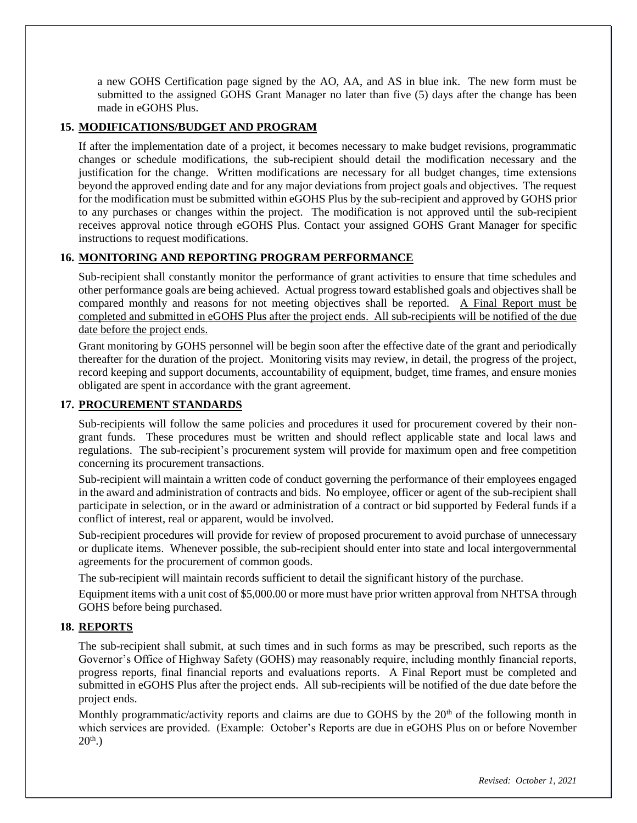a new GOHS Certification page signed by the AO, AA, and AS in blue ink. The new form must be submitted to the assigned GOHS Grant Manager no later than five (5) days after the change has been made in eGOHS Plus.

#### **15. MODIFICATIONS/BUDGET AND PROGRAM**

If after the implementation date of a project, it becomes necessary to make budget revisions, programmatic changes or schedule modifications, the sub-recipient should detail the modification necessary and the justification for the change. Written modifications are necessary for all budget changes, time extensions beyond the approved ending date and for any major deviations from project goals and objectives. The request for the modification must be submitted within eGOHS Plus by the sub-recipient and approved by GOHS prior to any purchases or changes within the project. The modification is not approved until the sub-recipient receives approval notice through eGOHS Plus. Contact your assigned GOHS Grant Manager for specific instructions to request modifications.

#### **16. MONITORING AND REPORTING PROGRAM PERFORMANCE**

Sub-recipient shall constantly monitor the performance of grant activities to ensure that time schedules and other performance goals are being achieved. Actual progress toward established goals and objectives shall be compared monthly and reasons for not meeting objectives shall be reported. A Final Report must be completed and submitted in eGOHS Plus after the project ends. All sub-recipients will be notified of the due date before the project ends.

Grant monitoring by GOHS personnel will be begin soon after the effective date of the grant and periodically thereafter for the duration of the project. Monitoring visits may review, in detail, the progress of the project, record keeping and support documents, accountability of equipment, budget, time frames, and ensure monies obligated are spent in accordance with the grant agreement.

#### **17. PROCUREMENT STANDARDS**

Sub-recipients will follow the same policies and procedures it used for procurement covered by their nongrant funds. These procedures must be written and should reflect applicable state and local laws and regulations. The sub-recipient's procurement system will provide for maximum open and free competition concerning its procurement transactions.

Sub-recipient will maintain a written code of conduct governing the performance of their employees engaged in the award and administration of contracts and bids. No employee, officer or agent of the sub-recipient shall participate in selection, or in the award or administration of a contract or bid supported by Federal funds if a conflict of interest, real or apparent, would be involved.

Sub-recipient procedures will provide for review of proposed procurement to avoid purchase of unnecessary or duplicate items. Whenever possible, the sub-recipient should enter into state and local intergovernmental agreements for the procurement of common goods.

The sub-recipient will maintain records sufficient to detail the significant history of the purchase.

Equipment items with a unit cost of \$5,000.00 or more must have prior written approval from NHTSA through GOHS before being purchased.

#### **18. REPORTS**

The sub-recipient shall submit, at such times and in such forms as may be prescribed, such reports as the Governor's Office of Highway Safety (GOHS) may reasonably require, including monthly financial reports, progress reports, final financial reports and evaluations reports. A Final Report must be completed and submitted in eGOHS Plus after the project ends. All sub-recipients will be notified of the due date before the project ends.

Monthly programmatic/activity reports and claims are due to GOHS by the  $20<sup>th</sup>$  of the following month in which services are provided. (Example: October's Reports are due in eGOHS Plus on or before November  $20^{th}$ .)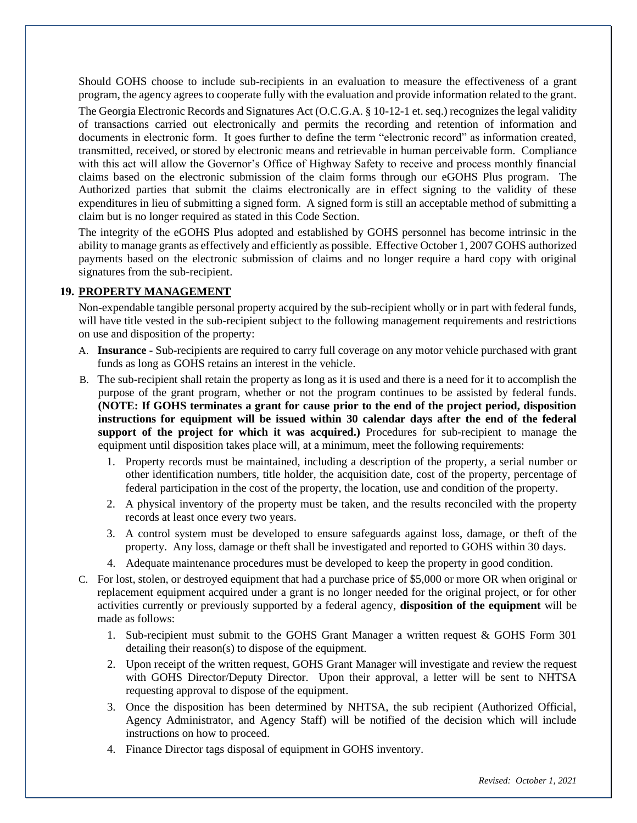Should GOHS choose to include sub-recipients in an evaluation to measure the effectiveness of a grant program, the agency agrees to cooperate fully with the evaluation and provide information related to the grant.

The Georgia Electronic Records and Signatures Act (O.C.G.A. § 10-12-1 et. seq.) recognizes the legal validity of transactions carried out electronically and permits the recording and retention of information and documents in electronic form. It goes further to define the term "electronic record" as information created, transmitted, received, or stored by electronic means and retrievable in human perceivable form. Compliance with this act will allow the Governor's Office of Highway Safety to receive and process monthly financial claims based on the electronic submission of the claim forms through our eGOHS Plus program. The Authorized parties that submit the claims electronically are in effect signing to the validity of these expenditures in lieu of submitting a signed form. A signed form is still an acceptable method of submitting a claim but is no longer required as stated in this Code Section.

The integrity of the eGOHS Plus adopted and established by GOHS personnel has become intrinsic in the ability to manage grants as effectively and efficiently as possible. Effective October 1, 2007 GOHS authorized payments based on the electronic submission of claims and no longer require a hard copy with original signatures from the sub-recipient.

#### **19. PROPERTY MANAGEMENT**

Non-expendable tangible personal property acquired by the sub-recipient wholly or in part with federal funds, will have title vested in the sub-recipient subject to the following management requirements and restrictions on use and disposition of the property:

- A. **Insurance** Sub-recipients are required to carry full coverage on any motor vehicle purchased with grant funds as long as GOHS retains an interest in the vehicle.
- B. The sub-recipient shall retain the property as long as it is used and there is a need for it to accomplish the purpose of the grant program, whether or not the program continues to be assisted by federal funds. **(NOTE: If GOHS terminates a grant for cause prior to the end of the project period, disposition instructions for equipment will be issued within 30 calendar days after the end of the federal support of the project for which it was acquired.)** Procedures for sub-recipient to manage the equipment until disposition takes place will, at a minimum, meet the following requirements:
	- 1. Property records must be maintained, including a description of the property, a serial number or other identification numbers, title holder, the acquisition date, cost of the property, percentage of federal participation in the cost of the property, the location, use and condition of the property.
	- 2. A physical inventory of the property must be taken, and the results reconciled with the property records at least once every two years.
	- 3. A control system must be developed to ensure safeguards against loss, damage, or theft of the property. Any loss, damage or theft shall be investigated and reported to GOHS within 30 days.
	- 4. Adequate maintenance procedures must be developed to keep the property in good condition.
- C. For lost, stolen, or destroyed equipment that had a purchase price of \$5,000 or more OR when original or replacement equipment acquired under a grant is no longer needed for the original project, or for other activities currently or previously supported by a federal agency, **disposition of the equipment** will be made as follows:
	- 1. Sub-recipient must submit to the GOHS Grant Manager a written request & GOHS Form 301 detailing their reason(s) to dispose of the equipment.
	- 2. Upon receipt of the written request, GOHS Grant Manager will investigate and review the request with GOHS Director/Deputy Director. Upon their approval, a letter will be sent to NHTSA requesting approval to dispose of the equipment.
	- 3. Once the disposition has been determined by NHTSA, the sub recipient (Authorized Official, Agency Administrator, and Agency Staff) will be notified of the decision which will include instructions on how to proceed.
	- 4. Finance Director tags disposal of equipment in GOHS inventory.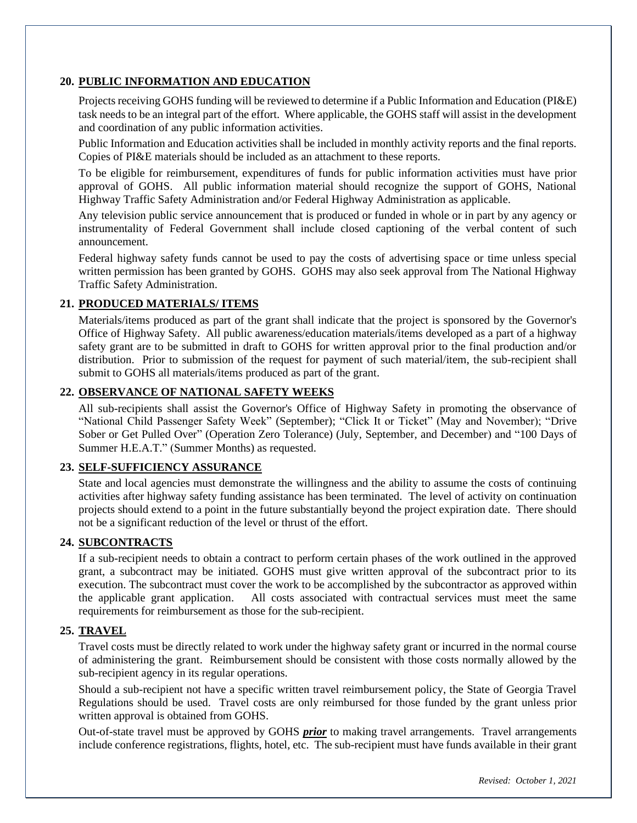#### **20. PUBLIC INFORMATION AND EDUCATION**

Projects receiving GOHS funding will be reviewed to determine if a Public Information and Education (PI&E) task needs to be an integral part of the effort. Where applicable, the GOHS staff will assist in the development and coordination of any public information activities.

Public Information and Education activities shall be included in monthly activity reports and the final reports. Copies of PI&E materials should be included as an attachment to these reports.

To be eligible for reimbursement, expenditures of funds for public information activities must have prior approval of GOHS. All public information material should recognize the support of GOHS, National Highway Traffic Safety Administration and/or Federal Highway Administration as applicable.

Any television public service announcement that is produced or funded in whole or in part by any agency or instrumentality of Federal Government shall include closed captioning of the verbal content of such announcement.

Federal highway safety funds cannot be used to pay the costs of advertising space or time unless special written permission has been granted by GOHS. GOHS may also seek approval from The National Highway Traffic Safety Administration.

#### **21. PRODUCED MATERIALS/ ITEMS**

Materials/items produced as part of the grant shall indicate that the project is sponsored by the Governor's Office of Highway Safety. All public awareness/education materials/items developed as a part of a highway safety grant are to be submitted in draft to GOHS for written approval prior to the final production and/or distribution. Prior to submission of the request for payment of such material/item, the sub-recipient shall submit to GOHS all materials/items produced as part of the grant.

#### **22. OBSERVANCE OF NATIONAL SAFETY WEEKS**

All sub-recipients shall assist the Governor's Office of Highway Safety in promoting the observance of "National Child Passenger Safety Week" (September); "Click It or Ticket" (May and November); "Drive Sober or Get Pulled Over" (Operation Zero Tolerance) (July, September, and December) and "100 Days of Summer H.E.A.T." (Summer Months) as requested.

#### **23. SELF-SUFFICIENCY ASSURANCE**

State and local agencies must demonstrate the willingness and the ability to assume the costs of continuing activities after highway safety funding assistance has been terminated. The level of activity on continuation projects should extend to a point in the future substantially beyond the project expiration date. There should not be a significant reduction of the level or thrust of the effort.

#### **24. SUBCONTRACTS**

If a sub-recipient needs to obtain a contract to perform certain phases of the work outlined in the approved grant, a subcontract may be initiated. GOHS must give written approval of the subcontract prior to its execution. The subcontract must cover the work to be accomplished by the subcontractor as approved within the applicable grant application. All costs associated with contractual services must meet the same requirements for reimbursement as those for the sub-recipient.

#### **25. TRAVEL**

Travel costs must be directly related to work under the highway safety grant or incurred in the normal course of administering the grant. Reimbursement should be consistent with those costs normally allowed by the sub-recipient agency in its regular operations.

Should a sub-recipient not have a specific written travel reimbursement policy, the State of Georgia Travel Regulations should be used. Travel costs are only reimbursed for those funded by the grant unless prior written approval is obtained from GOHS.

Out-of-state travel must be approved by GOHS *prior* to making travel arrangements. Travel arrangements include conference registrations, flights, hotel, etc. The sub-recipient must have funds available in their grant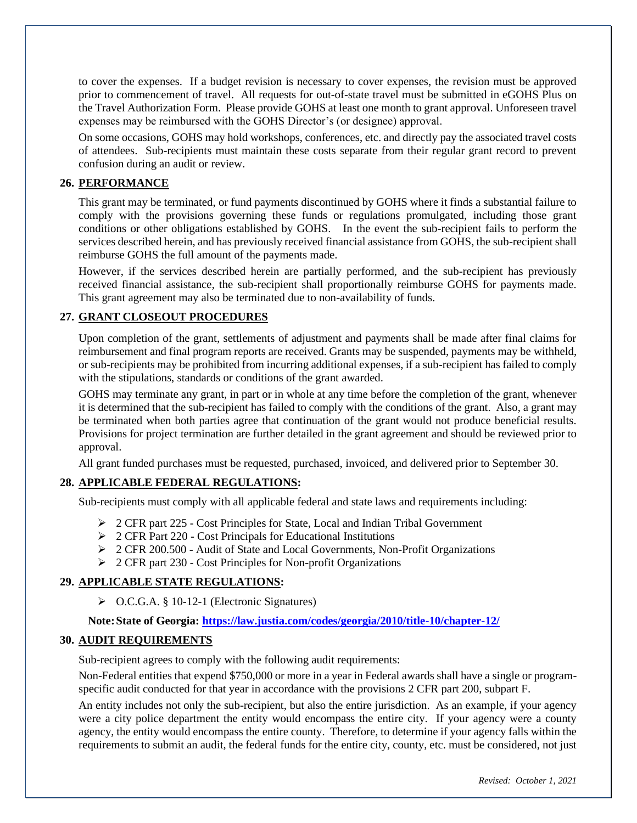to cover the expenses. If a budget revision is necessary to cover expenses, the revision must be approved prior to commencement of travel. All requests for out-of-state travel must be submitted in eGOHS Plus on the Travel Authorization Form. Please provide GOHS at least one month to grant approval. Unforeseen travel expenses may be reimbursed with the GOHS Director's (or designee) approval.

On some occasions, GOHS may hold workshops, conferences, etc. and directly pay the associated travel costs of attendees. Sub-recipients must maintain these costs separate from their regular grant record to prevent confusion during an audit or review.

#### **26. PERFORMANCE**

This grant may be terminated, or fund payments discontinued by GOHS where it finds a substantial failure to comply with the provisions governing these funds or regulations promulgated, including those grant conditions or other obligations established by GOHS. In the event the sub-recipient fails to perform the services described herein, and has previously received financial assistance from GOHS, the sub-recipient shall reimburse GOHS the full amount of the payments made.

However, if the services described herein are partially performed, and the sub-recipient has previously received financial assistance, the sub-recipient shall proportionally reimburse GOHS for payments made. This grant agreement may also be terminated due to non-availability of funds.

#### **27. GRANT CLOSEOUT PROCEDURES**

Upon completion of the grant, settlements of adjustment and payments shall be made after final claims for reimbursement and final program reports are received. Grants may be suspended, payments may be withheld, or sub-recipients may be prohibited from incurring additional expenses, if a sub-recipient has failed to comply with the stipulations, standards or conditions of the grant awarded.

GOHS may terminate any grant, in part or in whole at any time before the completion of the grant, whenever it is determined that the sub-recipient has failed to comply with the conditions of the grant. Also, a grant may be terminated when both parties agree that continuation of the grant would not produce beneficial results. Provisions for project termination are further detailed in the grant agreement and should be reviewed prior to approval.

All grant funded purchases must be requested, purchased, invoiced, and delivered prior to September 30.

#### **28. APPLICABLE FEDERAL REGULATIONS:**

Sub-recipients must comply with all applicable federal and state laws and requirements including:

- $\geq 2$  CFR part 225 Cost Principles for State, Local and Indian Tribal Government
- ➢ 2 CFR Part 220 Cost Principals for Educational Institutions
- $\geq$  2 CFR 200.500 Audit of State and Local Governments, Non-Profit Organizations
- ➢ 2 CFR part 230 Cost Principles for Non-profit Organizations

#### **29. APPLICABLE STATE REGULATIONS:**

➢ O.C.G.A. § 10-12-1 (Electronic Signatures)

#### **Note:State of Georgia: https://law.justia.com/codes/georgia/2010/title-10/chapter-12/**

#### **30. AUDIT REQUIREMENTS**

Sub-recipient agrees to comply with the following audit requirements:

Non-Federal entities that expend \$750,000 or more in a year in Federal awards shall have a single or programspecific audit conducted for that year in accordance with the provisions 2 CFR part 200, subpart F.

An entity includes not only the sub-recipient, but also the entire jurisdiction. As an example, if your agency were a city police department the entity would encompass the entire city. If your agency were a county agency, the entity would encompass the entire county. Therefore, to determine if your agency falls within the requirements to submit an audit, the federal funds for the entire city, county, etc. must be considered, not just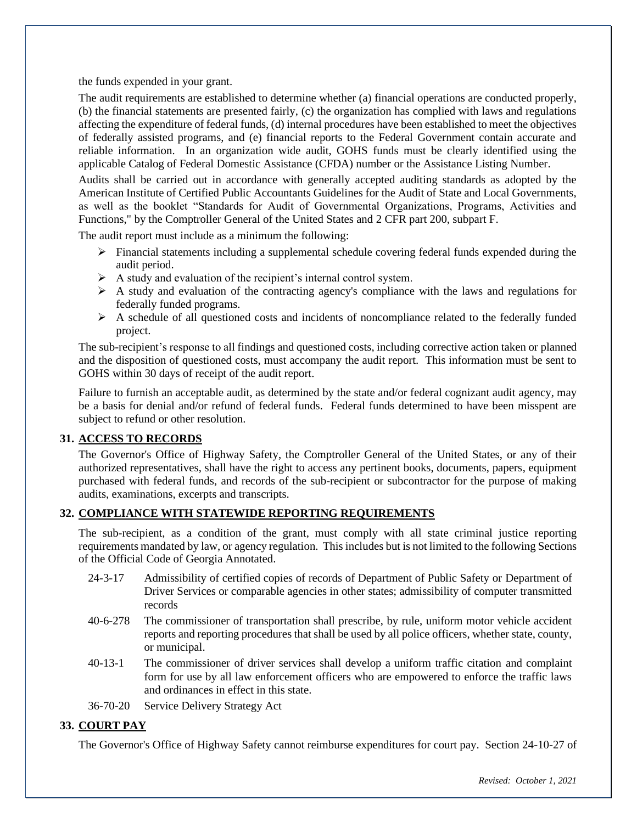the funds expended in your grant.

The audit requirements are established to determine whether (a) financial operations are conducted properly, (b) the financial statements are presented fairly, (c) the organization has complied with laws and regulations affecting the expenditure of federal funds, (d) internal procedures have been established to meet the objectives of federally assisted programs, and (e) financial reports to the Federal Government contain accurate and reliable information. In an organization wide audit, GOHS funds must be clearly identified using the applicable Catalog of Federal Domestic Assistance (CFDA) number or the Assistance Listing Number.

Audits shall be carried out in accordance with generally accepted auditing standards as adopted by the American Institute of Certified Public Accountants Guidelines for the Audit of State and Local Governments, as well as the booklet "Standards for Audit of Governmental Organizations, Programs, Activities and Functions," by the Comptroller General of the United States and 2 CFR part 200, subpart F.

The audit report must include as a minimum the following:

- ➢ Financial statements including a supplemental schedule covering federal funds expended during the audit period.
- $\triangleright$  A study and evaluation of the recipient's internal control system.
- ➢ A study and evaluation of the contracting agency's compliance with the laws and regulations for federally funded programs.
- $\triangleright$  A schedule of all questioned costs and incidents of noncompliance related to the federally funded project.

The sub-recipient's response to all findings and questioned costs, including corrective action taken or planned and the disposition of questioned costs, must accompany the audit report. This information must be sent to GOHS within 30 days of receipt of the audit report.

Failure to furnish an acceptable audit, as determined by the state and/or federal cognizant audit agency, may be a basis for denial and/or refund of federal funds. Federal funds determined to have been misspent are subject to refund or other resolution.

#### **31. ACCESS TO RECORDS**

The Governor's Office of Highway Safety, the Comptroller General of the United States, or any of their authorized representatives, shall have the right to access any pertinent books, documents, papers, equipment purchased with federal funds, and records of the sub-recipient or subcontractor for the purpose of making audits, examinations, excerpts and transcripts.

#### **32. COMPLIANCE WITH STATEWIDE REPORTING REQUIREMENTS**

The sub-recipient, as a condition of the grant, must comply with all state criminal justice reporting requirements mandated by law, or agency regulation. This includes but is not limited to the following Sections of the Official Code of Georgia Annotated.

- 24-3-17 Admissibility of certified copies of records of Department of Public Safety or Department of Driver Services or comparable agencies in other states; admissibility of computer transmitted records
- 40-6-278 The commissioner of transportation shall prescribe, by rule, uniform motor vehicle accident reports and reporting procedures that shall be used by all police officers, whether state, county, or municipal.
- 40-13-1 The commissioner of driver services shall develop a uniform traffic citation and complaint form for use by all law enforcement officers who are empowered to enforce the traffic laws and ordinances in effect in this state.
- 36-70-20 Service Delivery Strategy Act

#### **33. COURT PAY**

The Governor's Office of Highway Safety cannot reimburse expenditures for court pay. Section 24-10-27 of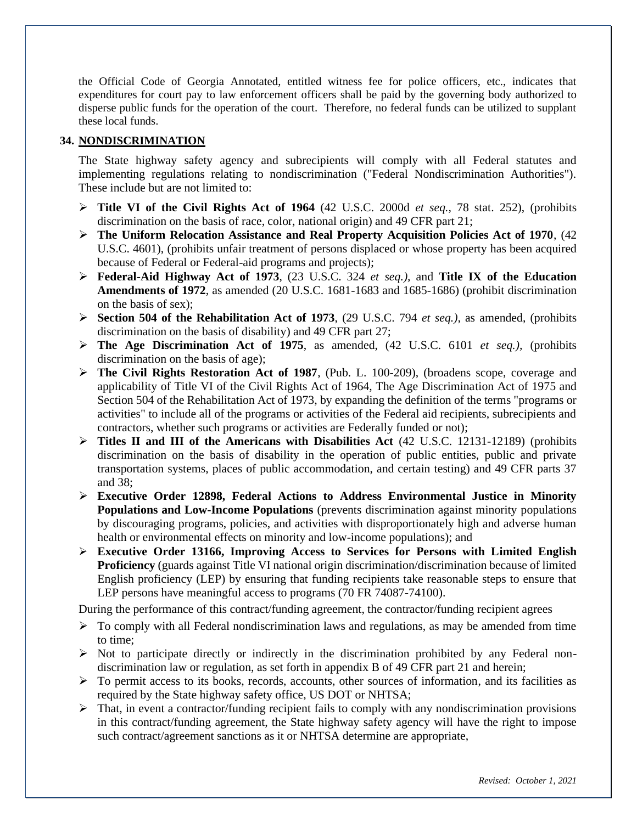the Official Code of Georgia Annotated, entitled witness fee for police officers, etc., indicates that expenditures for court pay to law enforcement officers shall be paid by the governing body authorized to disperse public funds for the operation of the court. Therefore, no federal funds can be utilized to supplant these local funds.

#### **34. NONDISCRIMINATION**

The State highway safety agency and subrecipients will comply with all Federal statutes and implementing regulations relating to nondiscrimination ("Federal Nondiscrimination Authorities"). These include but are not limited to:

- ➢ **Title VI of the Civil Rights Act of 1964** (42 U.S.C. 2000d *et seq.,* 78 stat. 252), (prohibits discrimination on the basis of race, color, national origin) and 49 CFR part 21;
- ➢ **The Uniform Relocation Assistance and Real Property Acquisition Policies Act of 1970**, (42 U.S.C. 4601), (prohibits unfair treatment of persons displaced or whose property has been acquired because of Federal or Federal-aid programs and projects);
- ➢ **Federal-Aid Highway Act of 1973**, (23 U.S.C. 324 *et seq.),* and **Title IX of the Education Amendments of 1972**, as amended (20 U.S.C. 1681-1683 and 1685-1686) (prohibit discrimination on the basis of sex);
- ➢ **Section 504 of the Rehabilitation Act of 1973**, (29 U.S.C. 794 *et seq.),* as amended, (prohibits discrimination on the basis of disability) and 49 CFR part 27;
- ➢ **The Age Discrimination Act of 1975**, as amended, (42 U.S.C. 6101 *et seq.),* (prohibits discrimination on the basis of age);
- ➢ **The Civil Rights Restoration Act of 1987**, (Pub. L. 100-209), (broadens scope, coverage and applicability of Title VI of the Civil Rights Act of 1964, The Age Discrimination Act of 1975 and Section 504 of the Rehabilitation Act of 1973, by expanding the definition of the terms "programs or activities" to include all of the programs or activities of the Federal aid recipients, subrecipients and contractors, whether such programs or activities are Federally funded or not);
- ➢ **Titles II and III of the Americans with Disabilities Act** (42 U.S.C. 12131-12189) (prohibits discrimination on the basis of disability in the operation of public entities, public and private transportation systems, places of public accommodation, and certain testing) and 49 CFR parts 37 and 38;
- ➢ **Executive Order 12898, Federal Actions to Address Environmental Justice in Minority Populations and Low-Income Populations** (prevents discrimination against minority populations by discouraging programs, policies, and activities with disproportionately high and adverse human health or environmental effects on minority and low-income populations); and
- ➢ **Executive Order 13166, Improving Access to Services for Persons with Limited English Proficiency** (guards against Title VI national origin discrimination/discrimination because of limited English proficiency (LEP) by ensuring that funding recipients take reasonable steps to ensure that LEP persons have meaningful access to programs (70 FR 74087-74100).

During the performance of this contract/funding agreement, the contractor/funding recipient agrees

- $\triangleright$  To comply with all Federal nondiscrimination laws and regulations, as may be amended from time to time;
- $\triangleright$  Not to participate directly or indirectly in the discrimination prohibited by any Federal nondiscrimination law or regulation, as set forth in appendix B of 49 CFR part 21 and herein;
- $\triangleright$  To permit access to its books, records, accounts, other sources of information, and its facilities as required by the State highway safety office, US DOT or NHTSA;
- ➢ That, in event a contractor/funding recipient fails to comply with any nondiscrimination provisions in this contract/funding agreement, the State highway safety agency will have the right to impose such contract/agreement sanctions as it or NHTSA determine are appropriate,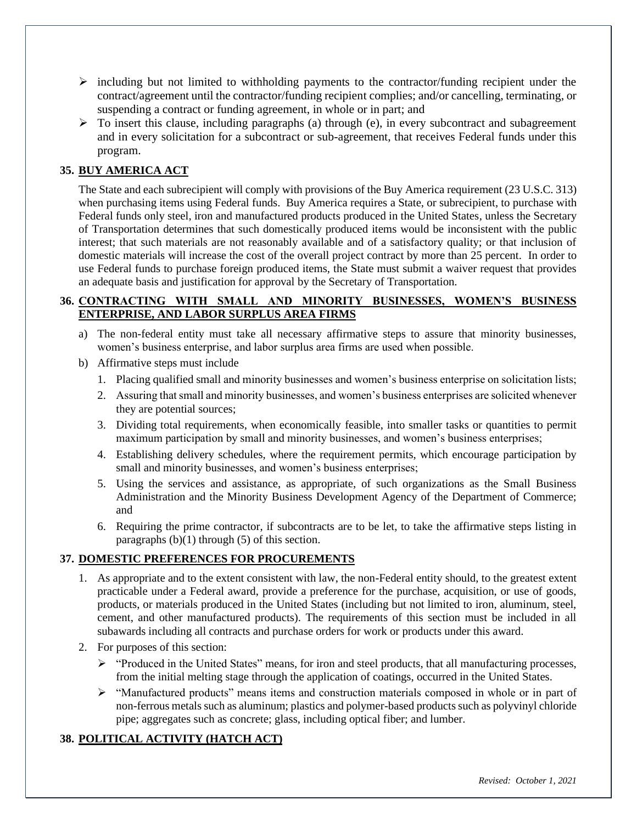- $\triangleright$  including but not limited to withholding payments to the contractor/funding recipient under the contract/agreement until the contractor/funding recipient complies; and/or cancelling, terminating, or suspending a contract or funding agreement, in whole or in part; and
- $\triangleright$  To insert this clause, including paragraphs (a) through (e), in every subcontract and subagreement and in every solicitation for a subcontract or sub-agreement, that receives Federal funds under this program.

#### **35. BUY AMERICA ACT**

The State and each subrecipient will comply with provisions of the Buy America requirement (23 U.S.C. 313) when purchasing items using Federal funds. Buy America requires a State, or subrecipient, to purchase with Federal funds only steel, iron and manufactured products produced in the United States, unless the Secretary of Transportation determines that such domestically produced items would be inconsistent with the public interest; that such materials are not reasonably available and of a satisfactory quality; or that inclusion of domestic materials will increase the cost of the overall project contract by more than 25 percent. In order to use Federal funds to purchase foreign produced items, the State must submit a waiver request that provides an adequate basis and justification for approval by the Secretary of Transportation.

#### **36. CONTRACTING WITH SMALL AND MINORITY BUSINESSES, WOMEN'S BUSINESS ENTERPRISE, AND LABOR SURPLUS AREA FIRMS**

- a) The non-federal entity must take all necessary affirmative steps to assure that minority businesses, women's business enterprise, and labor surplus area firms are used when possible.
- b) Affirmative steps must include
	- 1. Placing qualified small and minority businesses and women's business enterprise on solicitation lists;
	- 2. Assuring that small and minority businesses, and women's business enterprises are solicited whenever they are potential sources;
	- 3. Dividing total requirements, when economically feasible, into smaller tasks or quantities to permit maximum participation by small and minority businesses, and women's business enterprises;
	- 4. Establishing delivery schedules, where the requirement permits, which encourage participation by small and minority businesses, and women's business enterprises;
	- 5. Using the services and assistance, as appropriate, of such organizations as the Small Business Administration and the Minority Business Development Agency of the Department of Commerce; and
	- 6. Requiring the prime contractor, if subcontracts are to be let, to take the affirmative steps listing in paragraphs  $(b)(1)$  through  $(5)$  of this section.

#### **37. DOMESTIC PREFERENCES FOR PROCUREMENTS**

- 1. As appropriate and to the extent consistent with law, the non-Federal entity should, to the greatest extent practicable under a Federal award, provide a preference for the purchase, acquisition, or use of goods, products, or materials produced in the United States (including but not limited to iron, aluminum, steel, cement, and other manufactured products). The requirements of this section must be included in all subawards including all contracts and purchase orders for work or products under this award.
- 2. For purposes of this section:
	- ➢ "Produced in the United States" means, for iron and steel products, that all manufacturing processes, from the initial melting stage through the application of coatings, occurred in the United States.
	- $\triangleright$  "Manufactured products" means items and construction materials composed in whole or in part of non-ferrous metals such as aluminum; plastics and polymer-based products such as polyvinyl chloride pipe; aggregates such as concrete; glass, including optical fiber; and lumber.

#### **38. POLITICAL ACTIVITY (HATCH ACT)**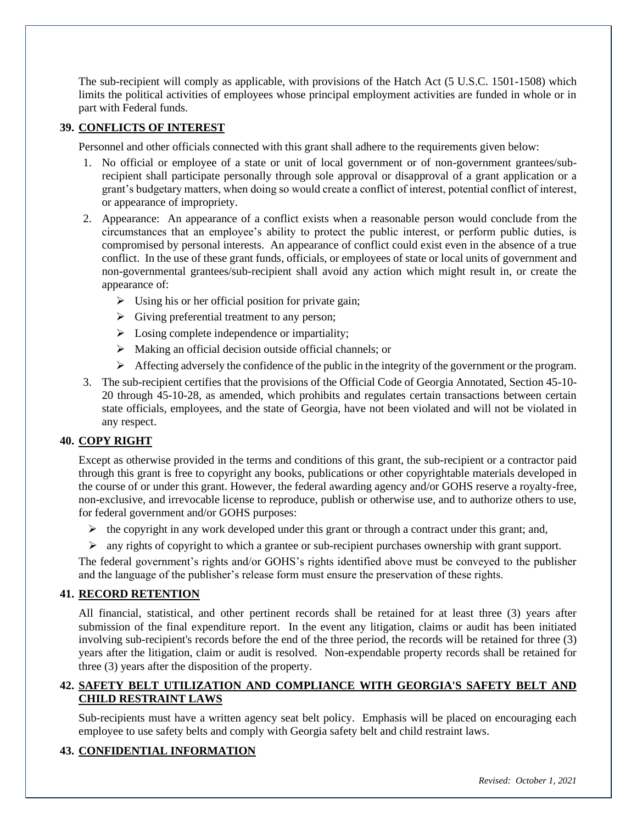The sub-recipient will comply as applicable, with provisions of the Hatch Act (5 U.S.C. 1501-1508) which limits the political activities of employees whose principal employment activities are funded in whole or in part with Federal funds.

#### **39. CONFLICTS OF INTEREST**

Personnel and other officials connected with this grant shall adhere to the requirements given below:

- 1. No official or employee of a state or unit of local government or of non-government grantees/subrecipient shall participate personally through sole approval or disapproval of a grant application or a grant's budgetary matters, when doing so would create a conflict of interest, potential conflict of interest, or appearance of impropriety.
- 2. Appearance: An appearance of a conflict exists when a reasonable person would conclude from the circumstances that an employee's ability to protect the public interest, or perform public duties, is compromised by personal interests. An appearance of conflict could exist even in the absence of a true conflict. In the use of these grant funds, officials, or employees of state or local units of government and non-governmental grantees/sub-recipient shall avoid any action which might result in, or create the appearance of:
	- $\triangleright$  Using his or her official position for private gain;
	- ➢ Giving preferential treatment to any person;
	- $\triangleright$  Losing complete independence or impartiality;
	- ➢ Making an official decision outside official channels; or
	- ➢ Affecting adversely the confidence of the public in the integrity of the government or the program.
- 3. The sub-recipient certifies that the provisions of the Official Code of Georgia Annotated, Section 45-10- 20 through 45-10-28, as amended, which prohibits and regulates certain transactions between certain state officials, employees, and the state of Georgia, have not been violated and will not be violated in any respect.

#### **40. COPY RIGHT**

Except as otherwise provided in the terms and conditions of this grant, the sub-recipient or a contractor paid through this grant is free to copyright any books, publications or other copyrightable materials developed in the course of or under this grant. However, the federal awarding agency and/or GOHS reserve a royalty-free, non-exclusive, and irrevocable license to reproduce, publish or otherwise use, and to authorize others to use, for federal government and/or GOHS purposes:

- $\triangleright$  the copyright in any work developed under this grant or through a contract under this grant; and,
- $\triangleright$  any rights of copyright to which a grantee or sub-recipient purchases ownership with grant support.

The federal government's rights and/or GOHS's rights identified above must be conveyed to the publisher and the language of the publisher's release form must ensure the preservation of these rights.

#### **41. RECORD RETENTION**

All financial, statistical, and other pertinent records shall be retained for at least three (3) years after submission of the final expenditure report. In the event any litigation, claims or audit has been initiated involving sub-recipient's records before the end of the three period, the records will be retained for three (3) years after the litigation, claim or audit is resolved. Non-expendable property records shall be retained for three (3) years after the disposition of the property.

#### **42. SAFETY BELT UTILIZATION AND COMPLIANCE WITH GEORGIA'S SAFETY BELT AND CHILD RESTRAINT LAWS**

Sub-recipients must have a written agency seat belt policy. Emphasis will be placed on encouraging each employee to use safety belts and comply with Georgia safety belt and child restraint laws.

#### **43. CONFIDENTIAL INFORMATION**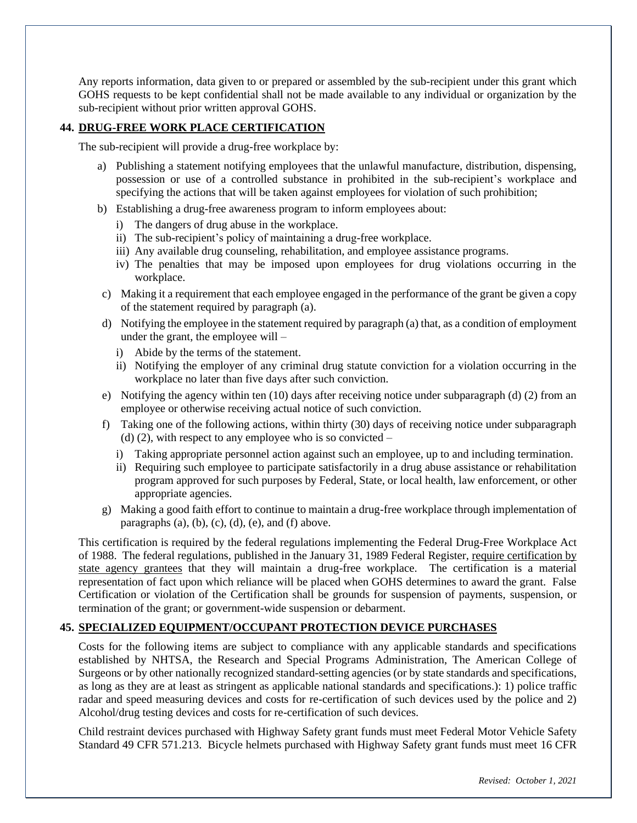Any reports information, data given to or prepared or assembled by the sub-recipient under this grant which GOHS requests to be kept confidential shall not be made available to any individual or organization by the sub-recipient without prior written approval GOHS.

#### **44. DRUG-FREE WORK PLACE CERTIFICATION**

The sub-recipient will provide a drug-free workplace by:

- a) Publishing a statement notifying employees that the unlawful manufacture, distribution, dispensing, possession or use of a controlled substance in prohibited in the sub-recipient's workplace and specifying the actions that will be taken against employees for violation of such prohibition;
- b) Establishing a drug-free awareness program to inform employees about:
	- i) The dangers of drug abuse in the workplace.
	- ii) The sub-recipient's policy of maintaining a drug-free workplace.
	- iii) Any available drug counseling, rehabilitation, and employee assistance programs.
	- iv) The penalties that may be imposed upon employees for drug violations occurring in the workplace.
- c) Making it a requirement that each employee engaged in the performance of the grant be given a copy of the statement required by paragraph (a).
- d) Notifying the employee in the statement required by paragraph (a) that, as a condition of employment under the grant, the employee will –
	- i) Abide by the terms of the statement.
	- ii) Notifying the employer of any criminal drug statute conviction for a violation occurring in the workplace no later than five days after such conviction.
- e) Notifying the agency within ten (10) days after receiving notice under subparagraph (d) (2) from an employee or otherwise receiving actual notice of such conviction.
- f) Taking one of the following actions, within thirty (30) days of receiving notice under subparagraph (d) (2), with respect to any employee who is so convicted  $$ 
	- i) Taking appropriate personnel action against such an employee, up to and including termination.
	- ii) Requiring such employee to participate satisfactorily in a drug abuse assistance or rehabilitation program approved for such purposes by Federal, State, or local health, law enforcement, or other appropriate agencies.
- g) Making a good faith effort to continue to maintain a drug-free workplace through implementation of paragraphs  $(a)$ ,  $(b)$ ,  $(c)$ ,  $(d)$ ,  $(e)$ , and  $(f)$  above.

This certification is required by the federal regulations implementing the Federal Drug-Free Workplace Act of 1988. The federal regulations, published in the January 31, 1989 Federal Register, require certification by state agency grantees that they will maintain a drug-free workplace. The certification is a material representation of fact upon which reliance will be placed when GOHS determines to award the grant. False Certification or violation of the Certification shall be grounds for suspension of payments, suspension, or termination of the grant; or government-wide suspension or debarment.

#### **45. SPECIALIZED EQUIPMENT/OCCUPANT PROTECTION DEVICE PURCHASES**

Costs for the following items are subject to compliance with any applicable standards and specifications established by NHTSA, the Research and Special Programs Administration, The American College of Surgeons or by other nationally recognized standard-setting agencies (or by state standards and specifications, as long as they are at least as stringent as applicable national standards and specifications.): 1) police traffic radar and speed measuring devices and costs for re-certification of such devices used by the police and 2) Alcohol/drug testing devices and costs for re-certification of such devices.

Child restraint devices purchased with Highway Safety grant funds must meet Federal Motor Vehicle Safety Standard 49 CFR 571.213. Bicycle helmets purchased with Highway Safety grant funds must meet 16 CFR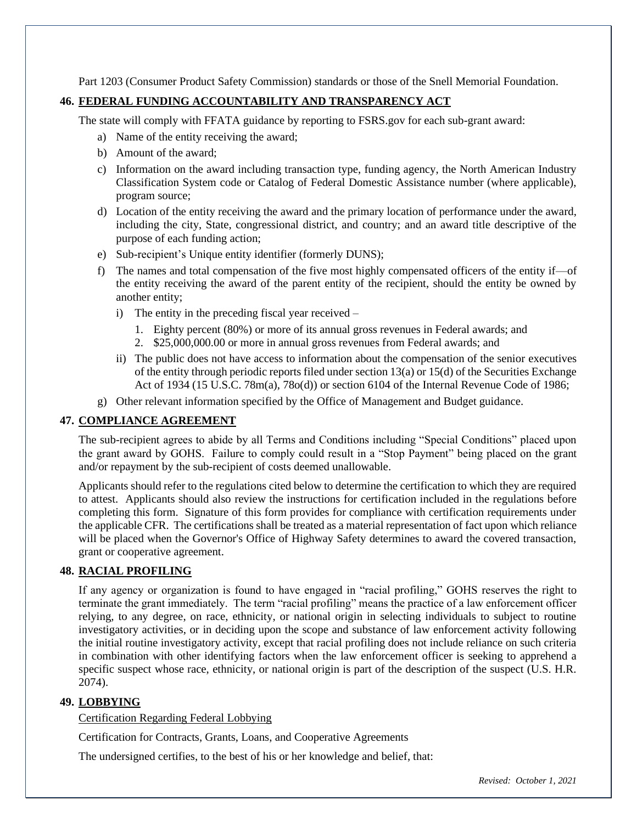Part 1203 (Consumer Product Safety Commission) standards or those of the Snell Memorial Foundation.

#### **46. FEDERAL FUNDING ACCOUNTABILITY AND TRANSPARENCY ACT**

The state will comply with FFATA guidance by reporting to FSRS.gov for each sub-grant award:

- a) Name of the entity receiving the award;
- b) Amount of the award;
- c) Information on the award including transaction type, funding agency, the North American Industry Classification System code or Catalog of Federal Domestic Assistance number (where applicable), program source;
- d) Location of the entity receiving the award and the primary location of performance under the award, including the city, State, congressional district, and country; and an award title descriptive of the purpose of each funding action;
- e) Sub-recipient's Unique entity identifier (formerly DUNS);
- f) The names and total compensation of the five most highly compensated officers of the entity if—of the entity receiving the award of the parent entity of the recipient, should the entity be owned by another entity;
	- i) The entity in the preceding fiscal year received
		- 1. Eighty percent (80%) or more of its annual gross revenues in Federal awards; and
		- 2. \$25,000,000.00 or more in annual gross revenues from Federal awards; and
	- ii) The public does not have access to information about the compensation of the senior executives of the entity through periodic reports filed under section 13(a) or 15(d) of the Securities Exchange Act of 1934 (15 U.S.C. 78m(a), 78o(d)) or section 6104 of the Internal Revenue Code of 1986;
- g) Other relevant information specified by the Office of Management and Budget guidance.

#### **47. COMPLIANCE AGREEMENT**

The sub-recipient agrees to abide by all Terms and Conditions including "Special Conditions" placed upon the grant award by GOHS. Failure to comply could result in a "Stop Payment" being placed on the grant and/or repayment by the sub-recipient of costs deemed unallowable.

Applicants should refer to the regulations cited below to determine the certification to which they are required to attest. Applicants should also review the instructions for certification included in the regulations before completing this form. Signature of this form provides for compliance with certification requirements under the applicable CFR. The certifications shall be treated as a material representation of fact upon which reliance will be placed when the Governor's Office of Highway Safety determines to award the covered transaction, grant or cooperative agreement.

#### **48. RACIAL PROFILING**

If any agency or organization is found to have engaged in "racial profiling," GOHS reserves the right to terminate the grant immediately. The term "racial profiling" means the practice of a law enforcement officer relying, to any degree, on race, ethnicity, or national origin in selecting individuals to subject to routine investigatory activities, or in deciding upon the scope and substance of law enforcement activity following the initial routine investigatory activity, except that racial profiling does not include reliance on such criteria in combination with other identifying factors when the law enforcement officer is seeking to apprehend a specific suspect whose race, ethnicity, or national origin is part of the description of the suspect (U.S. H.R. 2074).

#### **49. LOBBYING**

Certification Regarding Federal Lobbying

Certification for Contracts, Grants, Loans, and Cooperative Agreements

The undersigned certifies, to the best of his or her knowledge and belief, that: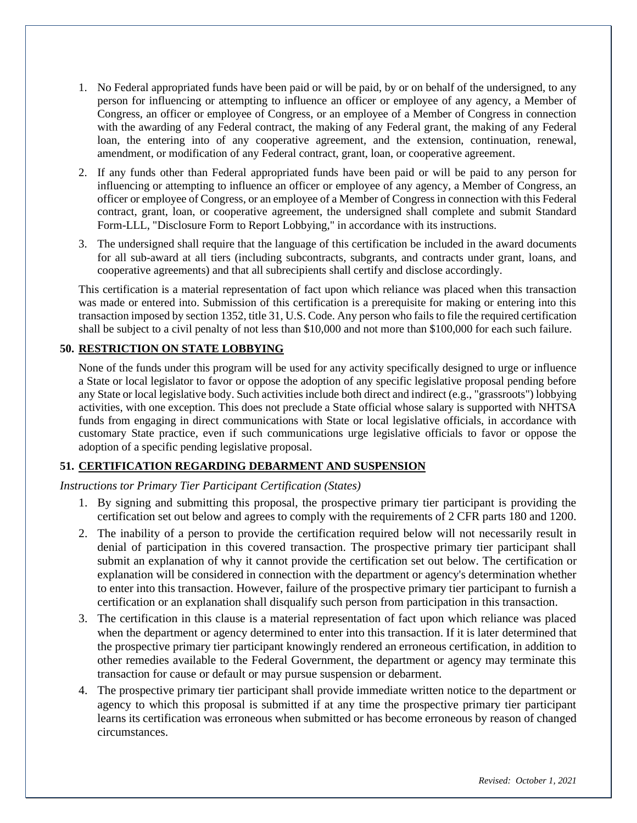- 1. No Federal appropriated funds have been paid or will be paid, by or on behalf of the undersigned, to any person for influencing or attempting to influence an officer or employee of any agency, a Member of Congress, an officer or employee of Congress, or an employee of a Member of Congress in connection with the awarding of any Federal contract, the making of any Federal grant, the making of any Federal loan, the entering into of any cooperative agreement, and the extension, continuation, renewal, amendment, or modification of any Federal contract, grant, loan, or cooperative agreement.
- 2. If any funds other than Federal appropriated funds have been paid or will be paid to any person for influencing or attempting to influence an officer or employee of any agency, a Member of Congress, an officer or employee of Congress, or an employee of a Member of Congress in connection with this Federal contract, grant, loan, or cooperative agreement, the undersigned shall complete and submit Standard Form-LLL, "Disclosure Form to Report Lobbying," in accordance with its instructions.
- 3. The undersigned shall require that the language of this certification be included in the award documents for all sub-award at all tiers (including subcontracts, subgrants, and contracts under grant, loans, and cooperative agreements) and that all subrecipients shall certify and disclose accordingly.

This certification is a material representation of fact upon which reliance was placed when this transaction was made or entered into. Submission of this certification is a prerequisite for making or entering into this transaction imposed by section 1352, title 31, U.S. Code. Any person who fails to file the required certification shall be subject to a civil penalty of not less than \$10,000 and not more than \$100,000 for each such failure.

#### **50. RESTRICTION ON STATE LOBBYING**

None of the funds under this program will be used for any activity specifically designed to urge or influence a State or local legislator to favor or oppose the adoption of any specific legislative proposal pending before any State or local legislative body. Such activities include both direct and indirect (e.g., "grassroots") lobbying activities, with one exception. This does not preclude a State official whose salary is supported with NHTSA funds from engaging in direct communications with State or local legislative officials, in accordance with customary State practice, even if such communications urge legislative officials to favor or oppose the adoption of a specific pending legislative proposal.

#### **51. CERTIFICATION REGARDING DEBARMENT AND SUSPENSION**

#### *Instructions tor Primary Tier Participant Certification (States)*

- 1. By signing and submitting this proposal, the prospective primary tier participant is providing the certification set out below and agrees to comply with the requirements of 2 CFR parts 180 and 1200.
- 2. The inability of a person to provide the certification required below will not necessarily result in denial of participation in this covered transaction. The prospective primary tier participant shall submit an explanation of why it cannot provide the certification set out below. The certification or explanation will be considered in connection with the department or agency's determination whether to enter into this transaction. However, failure of the prospective primary tier participant to furnish a certification or an explanation shall disqualify such person from participation in this transaction.
- 3. The certification in this clause is a material representation of fact upon which reliance was placed when the department or agency determined to enter into this transaction. If it is later determined that the prospective primary tier participant knowingly rendered an erroneous certification, in addition to other remedies available to the Federal Government, the department or agency may terminate this transaction for cause or default or may pursue suspension or debarment.
- 4. The prospective primary tier participant shall provide immediate written notice to the department or agency to which this proposal is submitted if at any time the prospective primary tier participant learns its certification was erroneous when submitted or has become erroneous by reason of changed circumstances.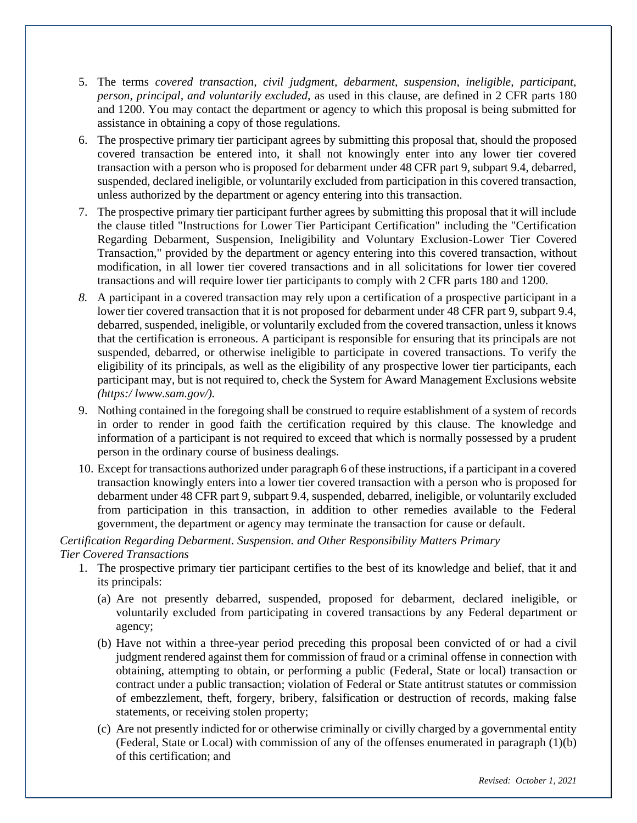- 5. The terms *covered transaction, civil judgment, debarment, suspension, ineligible, participant, person, principal, and voluntarily excluded,* as used in this clause, are defined in 2 CFR parts 180 and 1200. You may contact the department or agency to which this proposal is being submitted for assistance in obtaining a copy of those regulations.
- 6. The prospective primary tier participant agrees by submitting this proposal that, should the proposed covered transaction be entered into, it shall not knowingly enter into any lower tier covered transaction with a person who is proposed for debarment under 48 CFR part 9, subpart 9.4, debarred, suspended, declared ineligible, or voluntarily excluded from participation in this covered transaction, unless authorized by the department or agency entering into this transaction.
- 7. The prospective primary tier participant further agrees by submitting this proposal that it will include the clause titled "Instructions for Lower Tier Participant Certification" including the "Certification Regarding Debarment, Suspension, Ineligibility and Voluntary Exclusion-Lower Tier Covered Transaction," provided by the department or agency entering into this covered transaction, without modification, in all lower tier covered transactions and in all solicitations for lower tier covered transactions and will require lower tier participants to comply with 2 CFR parts 180 and 1200.
- *8.* A participant in a covered transaction may rely upon a certification of a prospective participant in a lower tier covered transaction that it is not proposed for debarment under 48 CFR part 9, subpart 9.4, debarred, suspended, ineligible, or voluntarily excluded from the covered transaction, unless it knows that the certification is erroneous. A participant is responsible for ensuring that its principals are not suspended, debarred, or otherwise ineligible to participate in covered transactions. To verify the eligibility of its principals, as well as the eligibility of any prospective lower tier participants, each participant may, but is not required to, check the System for Award Management Exclusions website *(https:/ lwww.sam.gov/).*
- 9. Nothing contained in the foregoing shall be construed to require establishment of a system of records in order to render in good faith the certification required by this clause. The knowledge and information of a participant is not required to exceed that which is normally possessed by a prudent person in the ordinary course of business dealings.
- 10. Except for transactions authorized under paragraph 6 of these instructions, if a participant in a covered transaction knowingly enters into a lower tier covered transaction with a person who is proposed for debarment under 48 CFR part 9, subpart 9.4, suspended, debarred, ineligible, or voluntarily excluded from participation in this transaction, in addition to other remedies available to the Federal government, the department or agency may terminate the transaction for cause or default.

#### *Certification Regarding Debarment. Suspension. and Other Responsibility Matters Primary Tier Covered Transactions*

- 1. The prospective primary tier participant certifies to the best of its knowledge and belief, that it and its principals:
	- (a) Are not presently debarred, suspended, proposed for debarment, declared ineligible, or voluntarily excluded from participating in covered transactions by any Federal department or agency;
	- (b) Have not within a three-year period preceding this proposal been convicted of or had a civil judgment rendered against them for commission of fraud or a criminal offense in connection with obtaining, attempting to obtain, or performing a public (Federal, State or local) transaction or contract under a public transaction; violation of Federal or State antitrust statutes or commission of embezzlement, theft, forgery, bribery, falsification or destruction of records, making false statements, or receiving stolen property;
	- (c) Are not presently indicted for or otherwise criminally or civilly charged by a governmental entity (Federal, State or Local) with commission of any of the offenses enumerated in paragraph (1)(b) of this certification; and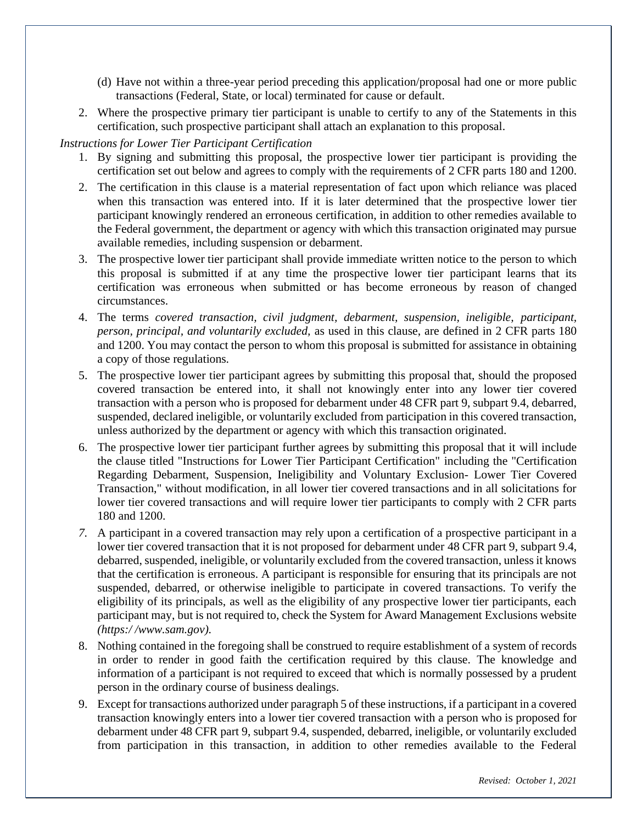- (d) Have not within a three-year period preceding this application/proposal had one or more public transactions (Federal, State, or local) terminated for cause or default.
- 2. Where the prospective primary tier participant is unable to certify to any of the Statements in this certification, such prospective participant shall attach an explanation to this proposal.

#### *Instructions for Lower Tier Participant Certification*

- 1. By signing and submitting this proposal, the prospective lower tier participant is providing the certification set out below and agrees to comply with the requirements of 2 CFR parts 180 and 1200.
- 2. The certification in this clause is a material representation of fact upon which reliance was placed when this transaction was entered into. If it is later determined that the prospective lower tier participant knowingly rendered an erroneous certification, in addition to other remedies available to the Federal government, the department or agency with which this transaction originated may pursue available remedies, including suspension or debarment.
- 3. The prospective lower tier participant shall provide immediate written notice to the person to which this proposal is submitted if at any time the prospective lower tier participant learns that its certification was erroneous when submitted or has become erroneous by reason of changed circumstances.
- 4. The terms *covered transaction, civil judgment, debarment, suspension, ineligible, participant, person, principal, and voluntarily excluded,* as used in this clause, are defined in 2 CFR parts 180 and 1200. You may contact the person to whom this proposal is submitted for assistance in obtaining a copy of those regulations.
- 5. The prospective lower tier participant agrees by submitting this proposal that, should the proposed covered transaction be entered into, it shall not knowingly enter into any lower tier covered transaction with a person who is proposed for debarment under 48 CFR part 9, subpart 9.4, debarred, suspended, declared ineligible, or voluntarily excluded from participation in this covered transaction, unless authorized by the department or agency with which this transaction originated.
- 6. The prospective lower tier participant further agrees by submitting this proposal that it will include the clause titled "Instructions for Lower Tier Participant Certification" including the "Certification Regarding Debarment, Suspension, Ineligibility and Voluntary Exclusion- Lower Tier Covered Transaction," without modification, in all lower tier covered transactions and in all solicitations for lower tier covered transactions and will require lower tier participants to comply with 2 CFR parts 180 and 1200.
- *7.* A participant in a covered transaction may rely upon a certification of a prospective participant in a lower tier covered transaction that it is not proposed for debarment under 48 CFR part 9, subpart 9.4, debarred, suspended, ineligible, or voluntarily excluded from the covered transaction, unless it knows that the certification is erroneous. A participant is responsible for ensuring that its principals are not suspended, debarred, or otherwise ineligible to participate in covered transactions. To verify the eligibility of its principals, as well as the eligibility of any prospective lower tier participants, each participant may, but is not required to, check the System for Award Management Exclusions website *(https:/ /www.sam.gov).*
- 8. Nothing contained in the foregoing shall be construed to require establishment of a system of records in order to render in good faith the certification required by this clause. The knowledge and information of a participant is not required to exceed that which is normally possessed by a prudent person in the ordinary course of business dealings.
- 9. Except for transactions authorized under paragraph 5 of these instructions, if a participant in a covered transaction knowingly enters into a lower tier covered transaction with a person who is proposed for debarment under 48 CFR part 9, subpart 9.4, suspended, debarred, ineligible, or voluntarily excluded from participation in this transaction, in addition to other remedies available to the Federal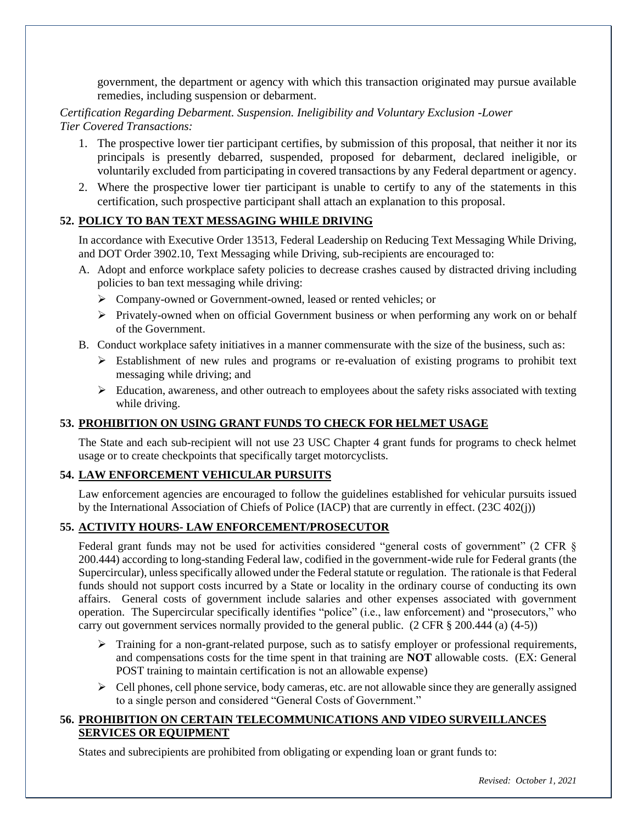government, the department or agency with which this transaction originated may pursue available remedies, including suspension or debarment.

#### *Certification Regarding Debarment. Suspension. Ineligibility and Voluntary Exclusion* -*Lower Tier Covered Transactions:*

- 1. The prospective lower tier participant certifies, by submission of this proposal, that neither it nor its principals is presently debarred, suspended, proposed for debarment, declared ineligible, or voluntarily excluded from participating in covered transactions by any Federal department or agency.
- 2. Where the prospective lower tier participant is unable to certify to any of the statements in this certification, such prospective participant shall attach an explanation to this proposal.

#### **52. POLICY TO BAN TEXT MESSAGING WHILE DRIVING**

In accordance with Executive Order 13513, Federal Leadership on Reducing Text Messaging While Driving, and DOT Order 3902.10, Text Messaging while Driving, sub-recipients are encouraged to:

- A. Adopt and enforce workplace safety policies to decrease crashes caused by distracted driving including policies to ban text messaging while driving:
	- ➢ Company-owned or Government-owned, leased or rented vehicles; or
	- ➢ Privately-owned when on official Government business or when performing any work on or behalf of the Government.
- B. Conduct workplace safety initiatives in a manner commensurate with the size of the business, such as:
	- $\triangleright$  Establishment of new rules and programs or re-evaluation of existing programs to prohibit text messaging while driving; and
	- $\triangleright$  Education, awareness, and other outreach to employees about the safety risks associated with texting while driving.

#### **53. PROHIBITION ON USING GRANT FUNDS TO CHECK FOR HELMET USAGE**

The State and each sub-recipient will not use 23 USC Chapter 4 grant funds for programs to check helmet usage or to create checkpoints that specifically target motorcyclists.

#### **54. LAW ENFORCEMENT VEHICULAR PURSUITS**

Law enforcement agencies are encouraged to follow the guidelines established for vehicular pursuits issued by the International Association of Chiefs of Police (IACP) that are currently in effect. (23C 402(j))

#### **55. ACTIVITY HOURS- LAW ENFORCEMENT/PROSECUTOR**

Federal grant funds may not be used for activities considered "general costs of government" (2 CFR § 200.444) according to long-standing Federal law, codified in the government-wide rule for Federal grants (the Supercircular), unless specifically allowed under the Federal statute or regulation. The rationale is that Federal funds should not support costs incurred by a State or locality in the ordinary course of conducting its own affairs. General costs of government include salaries and other expenses associated with government operation. The Supercircular specifically identifies "police" (i.e., law enforcement) and "prosecutors," who carry out government services normally provided to the general public. (2 CFR § 200.444 (a) (4-5))

- ➢ Training for a non-grant-related purpose, such as to satisfy employer or professional requirements, and compensations costs for the time spent in that training are **NOT** allowable costs. (EX: General POST training to maintain certification is not an allowable expense)
- $\triangleright$  Cell phones, cell phone service, body cameras, etc. are not allowable since they are generally assigned to a single person and considered "General Costs of Government."

#### **56. PROHIBITION ON CERTAIN TELECOMMUNICATIONS AND VIDEO SURVEILLANCES SERVICES OR EQUIPMENT**

States and subrecipients are prohibited from obligating or expending loan or grant funds to: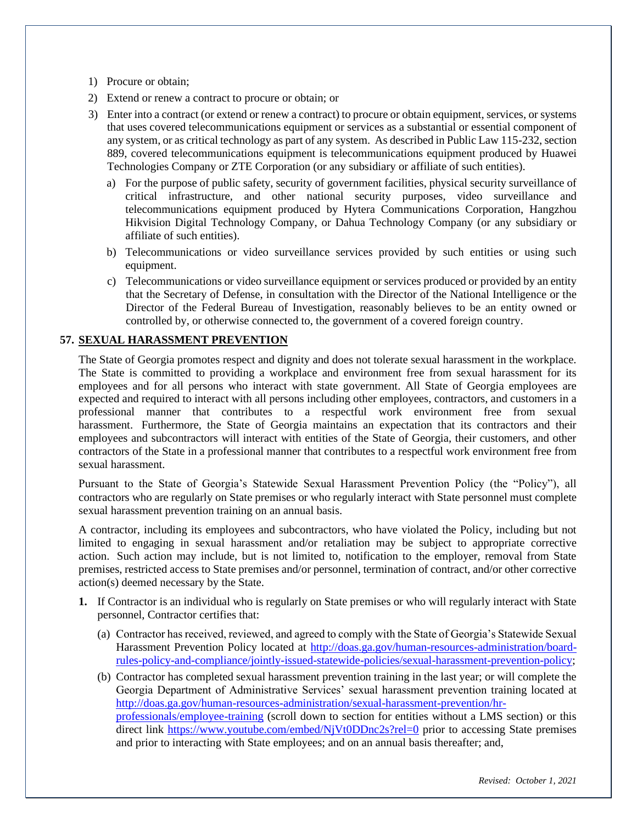- 1) Procure or obtain;
- 2) Extend or renew a contract to procure or obtain; or
- 3) Enter into a contract (or extend or renew a contract) to procure or obtain equipment, services, or systems that uses covered telecommunications equipment or services as a substantial or essential component of any system, or as critical technology as part of any system. As described in Public Law 115-232, section 889, covered telecommunications equipment is telecommunications equipment produced by Huawei Technologies Company or ZTE Corporation (or any subsidiary or affiliate of such entities).
	- a) For the purpose of public safety, security of government facilities, physical security surveillance of critical infrastructure, and other national security purposes, video surveillance and telecommunications equipment produced by Hytera Communications Corporation, Hangzhou Hikvision Digital Technology Company, or Dahua Technology Company (or any subsidiary or affiliate of such entities).
	- b) Telecommunications or video surveillance services provided by such entities or using such equipment.
	- c) Telecommunications or video surveillance equipment or services produced or provided by an entity that the Secretary of Defense, in consultation with the Director of the National Intelligence or the Director of the Federal Bureau of Investigation, reasonably believes to be an entity owned or controlled by, or otherwise connected to, the government of a covered foreign country.

#### **57. SEXUAL HARASSMENT PREVENTION**

The State of Georgia promotes respect and dignity and does not tolerate sexual harassment in the workplace. The State is committed to providing a workplace and environment free from sexual harassment for its employees and for all persons who interact with state government. All State of Georgia employees are expected and required to interact with all persons including other employees, contractors, and customers in a professional manner that contributes to a respectful work environment free from sexual harassment. Furthermore, the State of Georgia maintains an expectation that its contractors and their employees and subcontractors will interact with entities of the State of Georgia, their customers, and other contractors of the State in a professional manner that contributes to a respectful work environment free from sexual harassment.

Pursuant to the State of Georgia's Statewide Sexual Harassment Prevention Policy (the "Policy"), all contractors who are regularly on State premises or who regularly interact with State personnel must complete sexual harassment prevention training on an annual basis.

A contractor, including its employees and subcontractors, who have violated the Policy, including but not limited to engaging in sexual harassment and/or retaliation may be subject to appropriate corrective action. Such action may include, but is not limited to, notification to the employer, removal from State premises, restricted access to State premises and/or personnel, termination of contract, and/or other corrective action(s) deemed necessary by the State.

- **1.** If Contractor is an individual who is regularly on State premises or who will regularly interact with State personnel, Contractor certifies that:
	- (a) Contractor has received, reviewed, and agreed to comply with the State of Georgia's Statewide Sexual Harassment Prevention Policy located at http://doas.ga.gov/human-resources-administration/boardrules-policy-and-compliance/jointly-issued-statewide-policies/sexual-harassment-prevention-policy;
	- (b) Contractor has completed sexual harassment prevention training in the last year; or will complete the Georgia Department of Administrative Services' sexual harassment prevention training located at http://doas.ga.gov/human-resources-administration/sexual-harassment-prevention/hrprofessionals/employee-training (scroll down to section for entities without a LMS section) or this direct link https://www.youtube.com/embed/NjVt0DDnc2s?rel=0 prior to accessing State premises and prior to interacting with State employees; and on an annual basis thereafter; and,